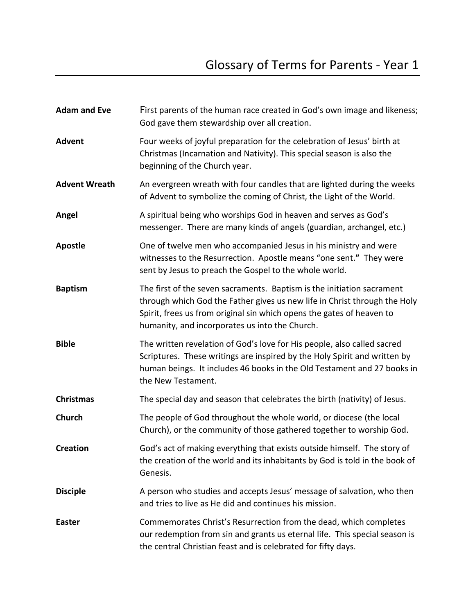| <b>Adam and Eve</b>  | First parents of the human race created in God's own image and likeness;<br>God gave them stewardship over all creation.                                                                                                                                                       |
|----------------------|--------------------------------------------------------------------------------------------------------------------------------------------------------------------------------------------------------------------------------------------------------------------------------|
| <b>Advent</b>        | Four weeks of joyful preparation for the celebration of Jesus' birth at<br>Christmas (Incarnation and Nativity). This special season is also the<br>beginning of the Church year.                                                                                              |
| <b>Advent Wreath</b> | An evergreen wreath with four candles that are lighted during the weeks<br>of Advent to symbolize the coming of Christ, the Light of the World.                                                                                                                                |
| Angel                | A spiritual being who worships God in heaven and serves as God's<br>messenger. There are many kinds of angels (guardian, archangel, etc.)                                                                                                                                      |
| <b>Apostle</b>       | One of twelve men who accompanied Jesus in his ministry and were<br>witnesses to the Resurrection. Apostle means "one sent." They were<br>sent by Jesus to preach the Gospel to the whole world.                                                                               |
| <b>Baptism</b>       | The first of the seven sacraments. Baptism is the initiation sacrament<br>through which God the Father gives us new life in Christ through the Holy<br>Spirit, frees us from original sin which opens the gates of heaven to<br>humanity, and incorporates us into the Church. |
| <b>Bible</b>         | The written revelation of God's love for His people, also called sacred<br>Scriptures. These writings are inspired by the Holy Spirit and written by<br>human beings. It includes 46 books in the Old Testament and 27 books in<br>the New Testament.                          |
| <b>Christmas</b>     | The special day and season that celebrates the birth (nativity) of Jesus.                                                                                                                                                                                                      |
| Church               | The people of God throughout the whole world, or diocese (the local<br>Church), or the community of those gathered together to worship God.                                                                                                                                    |
| <b>Creation</b>      | God's act of making everything that exists outside himself. The story of<br>the creation of the world and its inhabitants by God is told in the book of<br>Genesis.                                                                                                            |
| <b>Disciple</b>      | A person who studies and accepts Jesus' message of salvation, who then<br>and tries to live as He did and continues his mission.                                                                                                                                               |
| <b>Easter</b>        | Commemorates Christ's Resurrection from the dead, which completes<br>our redemption from sin and grants us eternal life. This special season is<br>the central Christian feast and is celebrated for fifty days.                                                               |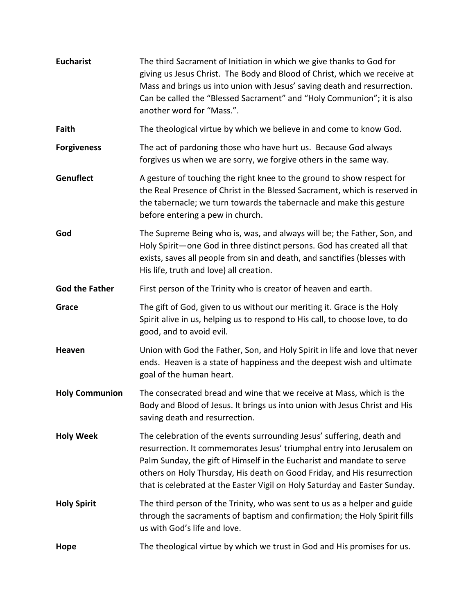| <b>Eucharist</b>      | The third Sacrament of Initiation in which we give thanks to God for<br>giving us Jesus Christ. The Body and Blood of Christ, which we receive at<br>Mass and brings us into union with Jesus' saving death and resurrection.<br>Can be called the "Blessed Sacrament" and "Holy Communion"; it is also<br>another word for "Mass.".                                               |
|-----------------------|------------------------------------------------------------------------------------------------------------------------------------------------------------------------------------------------------------------------------------------------------------------------------------------------------------------------------------------------------------------------------------|
| Faith                 | The theological virtue by which we believe in and come to know God.                                                                                                                                                                                                                                                                                                                |
| <b>Forgiveness</b>    | The act of pardoning those who have hurt us. Because God always<br>forgives us when we are sorry, we forgive others in the same way.                                                                                                                                                                                                                                               |
| Genuflect             | A gesture of touching the right knee to the ground to show respect for<br>the Real Presence of Christ in the Blessed Sacrament, which is reserved in<br>the tabernacle; we turn towards the tabernacle and make this gesture<br>before entering a pew in church.                                                                                                                   |
| God                   | The Supreme Being who is, was, and always will be; the Father, Son, and<br>Holy Spirit-one God in three distinct persons. God has created all that<br>exists, saves all people from sin and death, and sanctifies (blesses with<br>His life, truth and love) all creation.                                                                                                         |
| <b>God the Father</b> | First person of the Trinity who is creator of heaven and earth.                                                                                                                                                                                                                                                                                                                    |
| Grace                 | The gift of God, given to us without our meriting it. Grace is the Holy<br>Spirit alive in us, helping us to respond to His call, to choose love, to do<br>good, and to avoid evil.                                                                                                                                                                                                |
| Heaven                | Union with God the Father, Son, and Holy Spirit in life and love that never<br>ends. Heaven is a state of happiness and the deepest wish and ultimate<br>goal of the human heart.                                                                                                                                                                                                  |
| <b>Holy Communion</b> | The consecrated bread and wine that we receive at Mass, which is the<br>Body and Blood of Jesus. It brings us into union with Jesus Christ and His<br>saving death and resurrection.                                                                                                                                                                                               |
| <b>Holy Week</b>      | The celebration of the events surrounding Jesus' suffering, death and<br>resurrection. It commemorates Jesus' triumphal entry into Jerusalem on<br>Palm Sunday, the gift of Himself in the Eucharist and mandate to serve<br>others on Holy Thursday, His death on Good Friday, and His resurrection<br>that is celebrated at the Easter Vigil on Holy Saturday and Easter Sunday. |
| <b>Holy Spirit</b>    | The third person of the Trinity, who was sent to us as a helper and guide<br>through the sacraments of baptism and confirmation; the Holy Spirit fills<br>us with God's life and love.                                                                                                                                                                                             |
| Hope                  | The theological virtue by which we trust in God and His promises for us.                                                                                                                                                                                                                                                                                                           |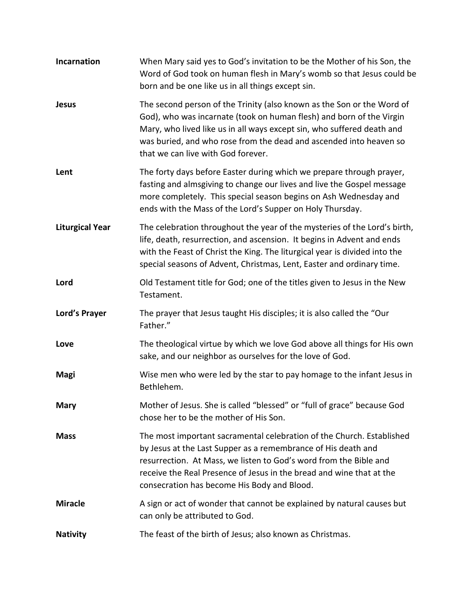| Incarnation            | When Mary said yes to God's invitation to be the Mother of his Son, the<br>Word of God took on human flesh in Mary's womb so that Jesus could be<br>born and be one like us in all things except sin.                                                                                                                                |
|------------------------|--------------------------------------------------------------------------------------------------------------------------------------------------------------------------------------------------------------------------------------------------------------------------------------------------------------------------------------|
| <b>Jesus</b>           | The second person of the Trinity (also known as the Son or the Word of<br>God), who was incarnate (took on human flesh) and born of the Virgin<br>Mary, who lived like us in all ways except sin, who suffered death and<br>was buried, and who rose from the dead and ascended into heaven so<br>that we can live with God forever. |
| Lent                   | The forty days before Easter during which we prepare through prayer,<br>fasting and almsgiving to change our lives and live the Gospel message<br>more completely. This special season begins on Ash Wednesday and<br>ends with the Mass of the Lord's Supper on Holy Thursday.                                                      |
| <b>Liturgical Year</b> | The celebration throughout the year of the mysteries of the Lord's birth,<br>life, death, resurrection, and ascension. It begins in Advent and ends<br>with the Feast of Christ the King. The liturgical year is divided into the<br>special seasons of Advent, Christmas, Lent, Easter and ordinary time.                           |
| Lord                   | Old Testament title for God; one of the titles given to Jesus in the New<br>Testament.                                                                                                                                                                                                                                               |
| Lord's Prayer          | The prayer that Jesus taught His disciples; it is also called the "Our<br>Father."                                                                                                                                                                                                                                                   |
| Love                   | The theological virtue by which we love God above all things for His own<br>sake, and our neighbor as ourselves for the love of God.                                                                                                                                                                                                 |
| <b>Magi</b>            | Wise men who were led by the star to pay homage to the infant Jesus in<br>Bethlehem.                                                                                                                                                                                                                                                 |
| <b>Mary</b>            | Mother of Jesus. She is called "blessed" or "full of grace" because God<br>chose her to be the mother of His Son.                                                                                                                                                                                                                    |
| <b>Mass</b>            | The most important sacramental celebration of the Church. Established<br>by Jesus at the Last Supper as a remembrance of His death and<br>resurrection. At Mass, we listen to God's word from the Bible and<br>receive the Real Presence of Jesus in the bread and wine that at the<br>consecration has become His Body and Blood.   |
| <b>Miracle</b>         | A sign or act of wonder that cannot be explained by natural causes but<br>can only be attributed to God.                                                                                                                                                                                                                             |
| <b>Nativity</b>        | The feast of the birth of Jesus; also known as Christmas.                                                                                                                                                                                                                                                                            |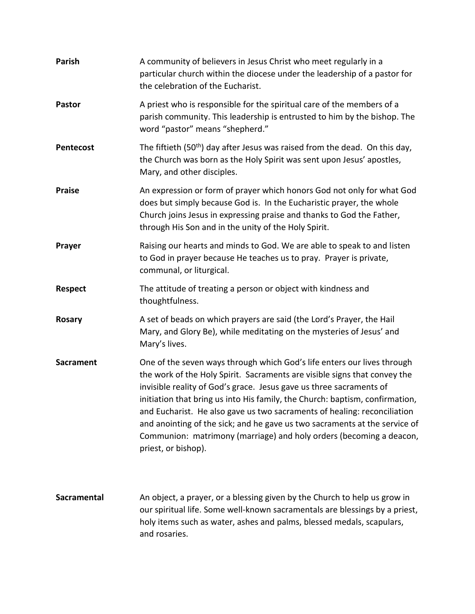| Parish             | A community of believers in Jesus Christ who meet regularly in a<br>particular church within the diocese under the leadership of a pastor for<br>the celebration of the Eucharist.                                                                                                                                                                                                                                                                                                                                                                                  |
|--------------------|---------------------------------------------------------------------------------------------------------------------------------------------------------------------------------------------------------------------------------------------------------------------------------------------------------------------------------------------------------------------------------------------------------------------------------------------------------------------------------------------------------------------------------------------------------------------|
| <b>Pastor</b>      | A priest who is responsible for the spiritual care of the members of a<br>parish community. This leadership is entrusted to him by the bishop. The<br>word "pastor" means "shepherd."                                                                                                                                                                                                                                                                                                                                                                               |
| <b>Pentecost</b>   | The fiftieth (50 <sup>th</sup> ) day after Jesus was raised from the dead. On this day,<br>the Church was born as the Holy Spirit was sent upon Jesus' apostles,<br>Mary, and other disciples.                                                                                                                                                                                                                                                                                                                                                                      |
| <b>Praise</b>      | An expression or form of prayer which honors God not only for what God<br>does but simply because God is. In the Eucharistic prayer, the whole<br>Church joins Jesus in expressing praise and thanks to God the Father,<br>through His Son and in the unity of the Holy Spirit.                                                                                                                                                                                                                                                                                     |
| Prayer             | Raising our hearts and minds to God. We are able to speak to and listen<br>to God in prayer because He teaches us to pray. Prayer is private,<br>communal, or liturgical.                                                                                                                                                                                                                                                                                                                                                                                           |
| <b>Respect</b>     | The attitude of treating a person or object with kindness and<br>thoughtfulness.                                                                                                                                                                                                                                                                                                                                                                                                                                                                                    |
| <b>Rosary</b>      | A set of beads on which prayers are said (the Lord's Prayer, the Hail<br>Mary, and Glory Be), while meditating on the mysteries of Jesus' and<br>Mary's lives.                                                                                                                                                                                                                                                                                                                                                                                                      |
| <b>Sacrament</b>   | One of the seven ways through which God's life enters our lives through<br>the work of the Holy Spirit. Sacraments are visible signs that convey the<br>invisible reality of God's grace. Jesus gave us three sacraments of<br>initiation that bring us into His family, the Church: baptism, confirmation,<br>and Eucharist. He also gave us two sacraments of healing: reconciliation<br>and anointing of the sick; and he gave us two sacraments at the service of<br>Communion: matrimony (marriage) and holy orders (becoming a deacon,<br>priest, or bishop). |
| <b>Sacramental</b> | An object, a prayer, or a blessing given by the Church to help us grow in<br>our spiritual life. Some well-known sacramentals are blessings by a priest,<br>holy items such as water, ashes and palms, blessed medals, scapulars,<br>and rosaries.                                                                                                                                                                                                                                                                                                                  |